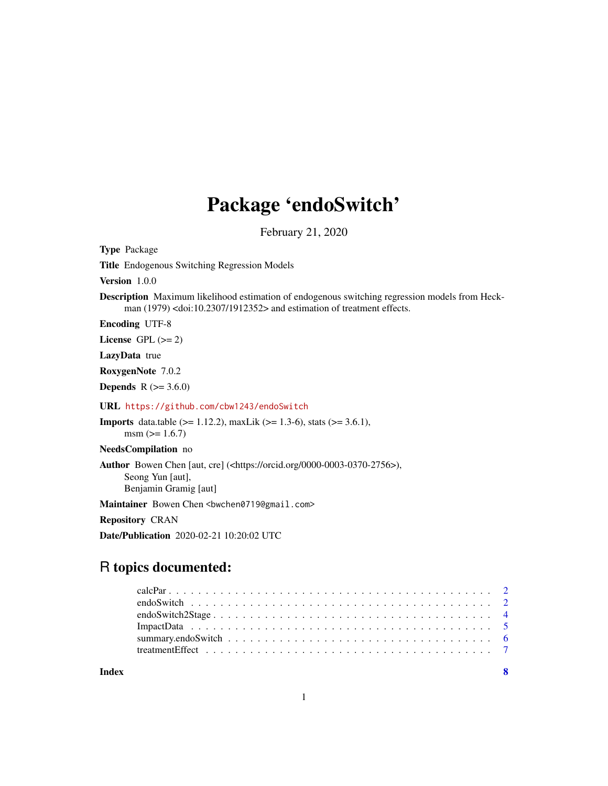# Package 'endoSwitch'

February 21, 2020

<span id="page-0-0"></span>Type Package

Title Endogenous Switching Regression Models

Version 1.0.0

Description Maximum likelihood estimation of endogenous switching regression models from Heckman (1979) <doi:10.2307/1912352> and estimation of treatment effects.

Encoding UTF-8

License GPL  $(>= 2)$ 

LazyData true

RoxygenNote 7.0.2

**Depends** R  $(>= 3.6.0)$ 

URL <https://github.com/cbw1243/endoSwitch>

Imports data.table (>= 1.12.2), maxLik (>= 1.3-6), stats (>= 3.6.1),  $msm (= 1.6.7)$ 

NeedsCompilation no

Author Bowen Chen [aut, cre] (<https://orcid.org/0000-0003-0370-2756>), Seong Yun [aut], Benjamin Gramig [aut]

Maintainer Bowen Chen <br/>bwchen0719@gmail.com>

Repository CRAN

Date/Publication 2020-02-21 10:20:02 UTC

# R topics documented:

**Index** [8](#page-7-0) **8**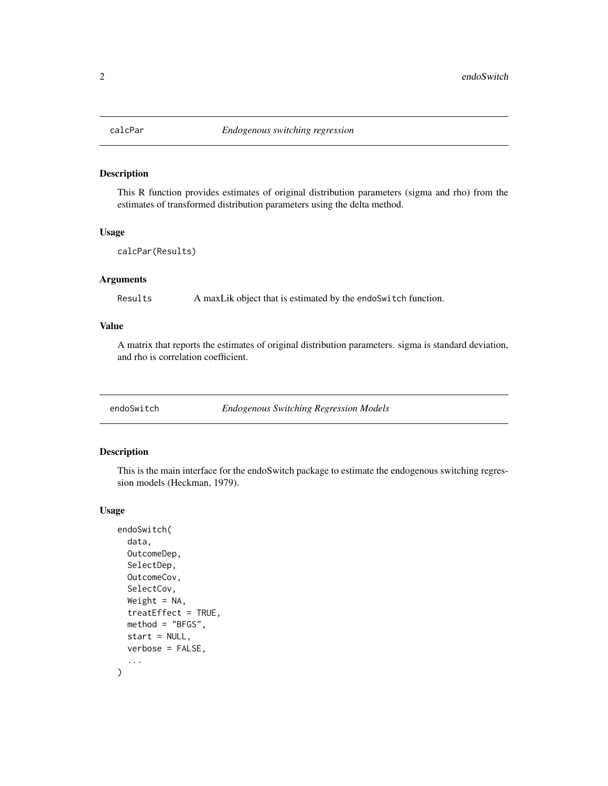<span id="page-1-0"></span>

# Description

This R function provides estimates of original distribution parameters (sigma and rho) from the estimates of transformed distribution parameters using the delta method.

#### Usage

calcPar(Results)

# Arguments

Results A maxLik object that is estimated by the endoSwitch function.

#### Value

A matrix that reports the estimates of original distribution parameters. sigma is standard deviation, and rho is correlation coefficient.

endoSwitch *Endogenous Switching Regression Models*

#### Description

This is the main interface for the endoSwitch package to estimate the endogenous switching regression models (Heckman, 1979).

#### Usage

```
endoSwitch(
  data,
  OutcomeDep,
  SelectDep,
  OutcomeCov,
  SelectCov,
  Weight = NA,
  treatEffect = TRUE,
  method = "BFGS",
  start = NULL,
  verbose = FALSE,
  ...
)
```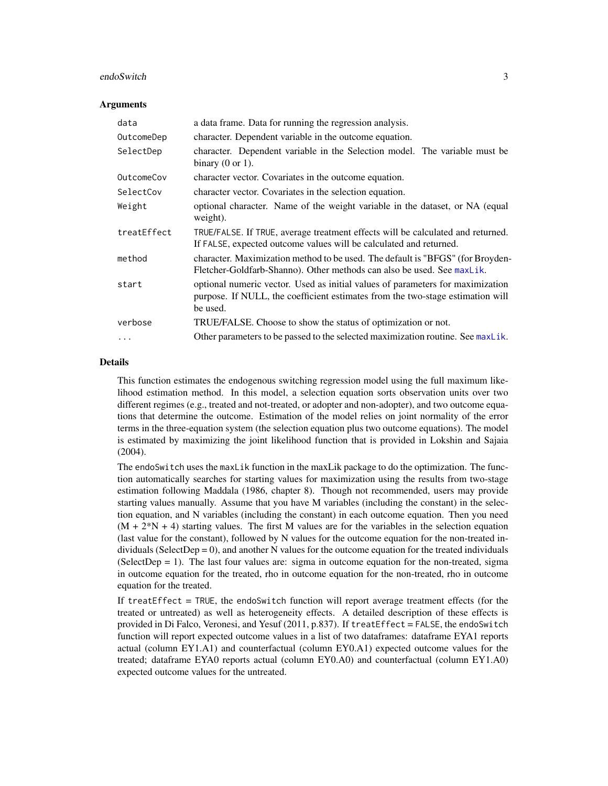#### <span id="page-2-0"></span>endoSwitch 3

#### Arguments

| data        | a data frame. Data for running the regression analysis.                                                                                                                      |
|-------------|------------------------------------------------------------------------------------------------------------------------------------------------------------------------------|
| OutcomeDep  | character. Dependent variable in the outcome equation.                                                                                                                       |
| SelectDep   | character. Dependent variable in the Selection model. The variable must be<br>binary $(0 \text{ or } 1)$ .                                                                   |
| OutcomeCov  | character vector. Covariates in the outcome equation.                                                                                                                        |
| SelectCov   | character vector. Covariates in the selection equation.                                                                                                                      |
| Weight      | optional character. Name of the weight variable in the dataset, or NA (equal<br>weight).                                                                                     |
| treatEffect | TRUE/FALSE. If TRUE, average treatment effects will be calculated and returned.<br>If FALSE, expected outcome values will be calculated and returned.                        |
| method      | character. Maximization method to be used. The default is "BFGS" (for Broyden-<br>Fletcher-Goldfarb-Shanno). Other methods can also be used. See maxLik.                     |
| start       | optional numeric vector. Used as initial values of parameters for maximization<br>purpose. If NULL, the coefficient estimates from the two-stage estimation will<br>be used. |
| verbose     | TRUE/FALSE. Choose to show the status of optimization or not.                                                                                                                |
| .           | Other parameters to be passed to the selected maximization routine. See max Lik.                                                                                             |

#### Details

This function estimates the endogenous switching regression model using the full maximum likelihood estimation method. In this model, a selection equation sorts observation units over two different regimes (e.g., treated and not-treated, or adopter and non-adopter), and two outcome equations that determine the outcome. Estimation of the model relies on joint normality of the error terms in the three-equation system (the selection equation plus two outcome equations). The model is estimated by maximizing the joint likelihood function that is provided in Lokshin and Sajaia (2004).

The endoSwitch uses the maxLik function in the maxLik package to do the optimization. The function automatically searches for starting values for maximization using the results from two-stage estimation following Maddala (1986, chapter 8). Though not recommended, users may provide starting values manually. Assume that you have M variables (including the constant) in the selection equation, and N variables (including the constant) in each outcome equation. Then you need  $(M + 2*N + 4)$  starting values. The first M values are for the variables in the selection equation (last value for the constant), followed by N values for the outcome equation for the non-treated individuals (SelectDep =  $0$ ), and another N values for the outcome equation for the treated individuals (SelectDep  $= 1$ ). The last four values are: sigma in outcome equation for the non-treated, sigma in outcome equation for the treated, rho in outcome equation for the non-treated, rho in outcome equation for the treated.

If treatEffect = TRUE, the endoSwitch function will report average treatment effects (for the treated or untreated) as well as heterogeneity effects. A detailed description of these effects is provided in Di Falco, Veronesi, and Yesuf (2011, p.837). If treatEffect = FALSE, the endoSwitch function will report expected outcome values in a list of two dataframes: dataframe EYA1 reports actual (column EY1.A1) and counterfactual (column EY0.A1) expected outcome values for the treated; dataframe EYA0 reports actual (column EY0.A0) and counterfactual (column EY1.A0) expected outcome values for the untreated.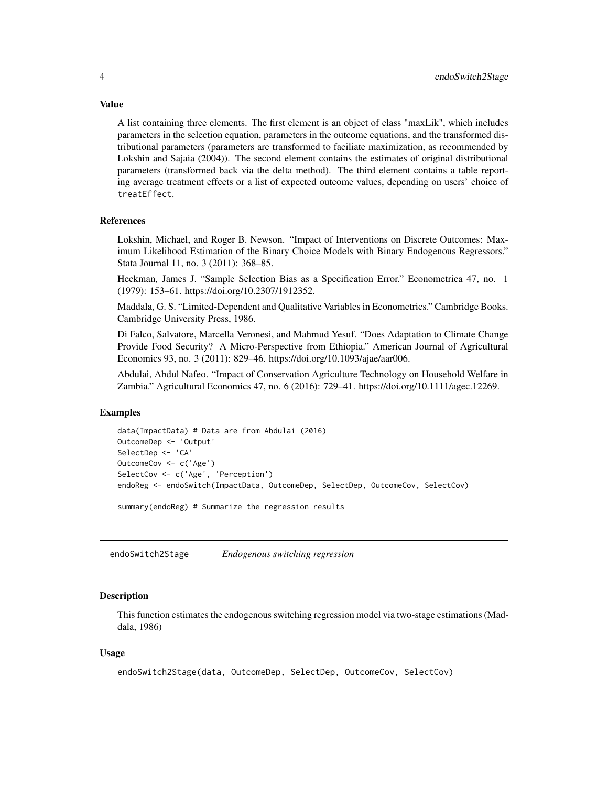A list containing three elements. The first element is an object of class "maxLik", which includes parameters in the selection equation, parameters in the outcome equations, and the transformed distributional parameters (parameters are transformed to faciliate maximization, as recommended by Lokshin and Sajaia (2004)). The second element contains the estimates of original distributional parameters (transformed back via the delta method). The third element contains a table reporting average treatment effects or a list of expected outcome values, depending on users' choice of treatEffect.

#### References

Lokshin, Michael, and Roger B. Newson. "Impact of Interventions on Discrete Outcomes: Maximum Likelihood Estimation of the Binary Choice Models with Binary Endogenous Regressors." Stata Journal 11, no. 3 (2011): 368–85.

Heckman, James J. "Sample Selection Bias as a Specification Error." Econometrica 47, no. 1 (1979): 153–61. https://doi.org/10.2307/1912352.

Maddala, G. S. "Limited-Dependent and Qualitative Variables in Econometrics." Cambridge Books. Cambridge University Press, 1986.

Di Falco, Salvatore, Marcella Veronesi, and Mahmud Yesuf. "Does Adaptation to Climate Change Provide Food Security? A Micro-Perspective from Ethiopia." American Journal of Agricultural Economics 93, no. 3 (2011): 829–46. https://doi.org/10.1093/ajae/aar006.

Abdulai, Abdul Nafeo. "Impact of Conservation Agriculture Technology on Household Welfare in Zambia." Agricultural Economics 47, no. 6 (2016): 729–41. https://doi.org/10.1111/agec.12269.

#### Examples

```
data(ImpactData) # Data are from Abdulai (2016)
OutcomeDep <- 'Output'
SelectDep <- 'CA'
OutcomeCov <- c('Age')
SelectCov <- c('Age', 'Perception')
endoReg <- endoSwitch(ImpactData, OutcomeDep, SelectDep, OutcomeCov, SelectCov)
```
summary(endoReg) # Summarize the regression results

endoSwitch2Stage *Endogenous switching regression*

#### **Description**

This function estimates the endogenous switching regression model via two-stage estimations (Maddala, 1986)

#### Usage

```
endoSwitch2Stage(data, OutcomeDep, SelectDep, OutcomeCov, SelectCov)
```
<span id="page-3-0"></span>

# Value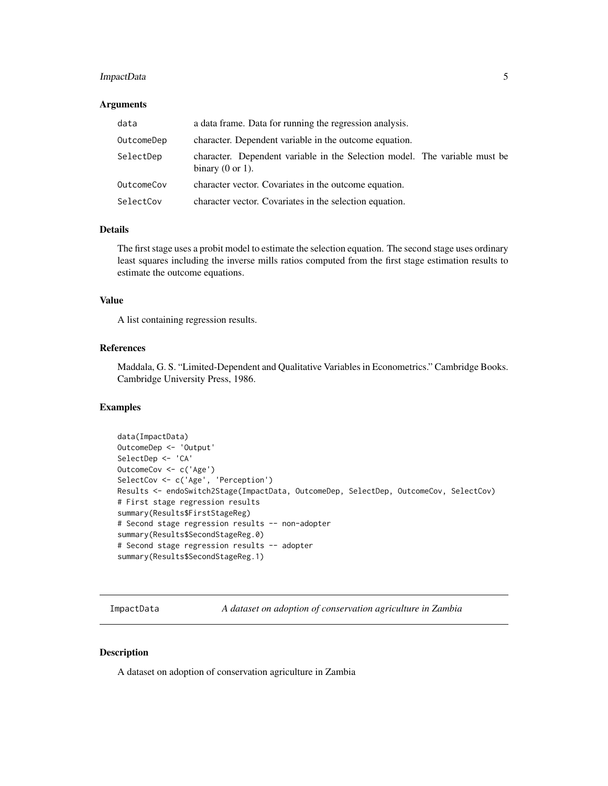# <span id="page-4-0"></span>ImpactData 5

#### Arguments

| data       | a data frame. Data for running the regression analysis.                                                    |
|------------|------------------------------------------------------------------------------------------------------------|
| OutcomeDep | character. Dependent variable in the outcome equation.                                                     |
| SelectDep  | character. Dependent variable in the Selection model. The variable must be<br>binary $(0 \text{ or } 1)$ . |
| OutcomeCov | character vector. Covariates in the outcome equation.                                                      |
| SelectCov  | character vector. Covariates in the selection equation.                                                    |

#### Details

The first stage uses a probit model to estimate the selection equation. The second stage uses ordinary least squares including the inverse mills ratios computed from the first stage estimation results to estimate the outcome equations.

## Value

A list containing regression results.

#### References

Maddala, G. S. "Limited-Dependent and Qualitative Variables in Econometrics." Cambridge Books. Cambridge University Press, 1986.

#### Examples

```
data(ImpactData)
OutcomeDep <- 'Output'
SelectDep <- 'CA'
OutcomeCov <- c('Age')
SelectCov <- c('Age', 'Perception')
Results <- endoSwitch2Stage(ImpactData, OutcomeDep, SelectDep, OutcomeCov, SelectCov)
# First stage regression results
summary(Results$FirstStageReg)
# Second stage regression results -- non-adopter
summary(Results$SecondStageReg.0)
# Second stage regression results -- adopter
summary(Results$SecondStageReg.1)
```
ImpactData *A dataset on adoption of conservation agriculture in Zambia*

#### Description

A dataset on adoption of conservation agriculture in Zambia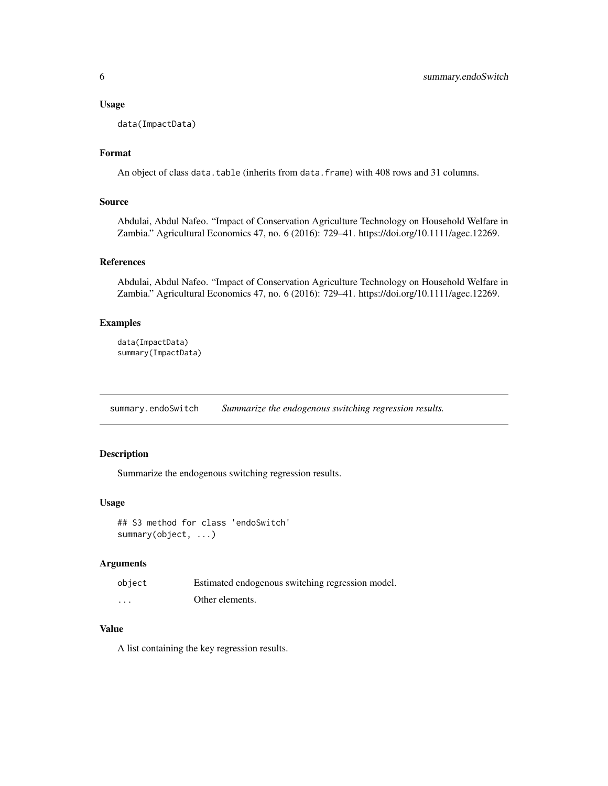#### <span id="page-5-0"></span>Usage

data(ImpactData)

# Format

An object of class data.table (inherits from data.frame) with 408 rows and 31 columns.

#### Source

Abdulai, Abdul Nafeo. "Impact of Conservation Agriculture Technology on Household Welfare in Zambia." Agricultural Economics 47, no. 6 (2016): 729–41. https://doi.org/10.1111/agec.12269.

#### References

Abdulai, Abdul Nafeo. "Impact of Conservation Agriculture Technology on Household Welfare in Zambia." Agricultural Economics 47, no. 6 (2016): 729–41. https://doi.org/10.1111/agec.12269.

# Examples

```
data(ImpactData)
summary(ImpactData)
```
summary.endoSwitch *Summarize the endogenous switching regression results.*

# Description

Summarize the endogenous switching regression results.

#### Usage

## S3 method for class 'endoSwitch' summary(object, ...)

# Arguments

| object   | Estimated endogenous switching regression model. |
|----------|--------------------------------------------------|
| $\cdots$ | Other elements.                                  |

# Value

A list containing the key regression results.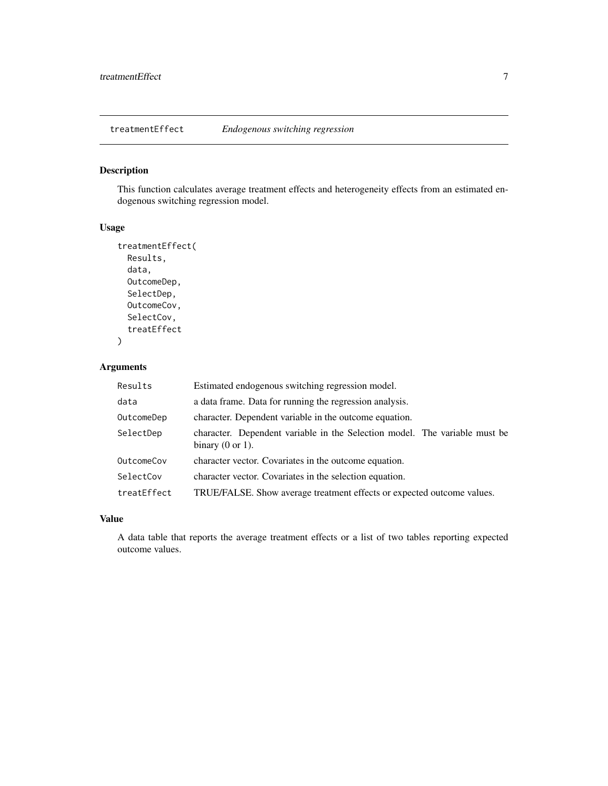<span id="page-6-0"></span>treatmentEffect *Endogenous switching regression*

# Description

This function calculates average treatment effects and heterogeneity effects from an estimated endogenous switching regression model.

#### Usage

```
treatmentEffect(
 Results,
  data,
 OutcomeDep,
  SelectDep,
 OutcomeCov,
  SelectCov,
  treatEffect
)
```
# Arguments

| Results     | Estimated endogenous switching regression model.                                                           |
|-------------|------------------------------------------------------------------------------------------------------------|
| data        | a data frame. Data for running the regression analysis.                                                    |
| OutcomeDep  | character. Dependent variable in the outcome equation.                                                     |
| SelectDep   | character. Dependent variable in the Selection model. The variable must be<br>binary $(0 \text{ or } 1)$ . |
| OutcomeCov  | character vector. Covariates in the outcome equation.                                                      |
| SelectCov   | character vector. Covariates in the selection equation.                                                    |
| treatEffect | TRUE/FALSE. Show average treatment effects or expected outcome values.                                     |

#### Value

A data table that reports the average treatment effects or a list of two tables reporting expected outcome values.